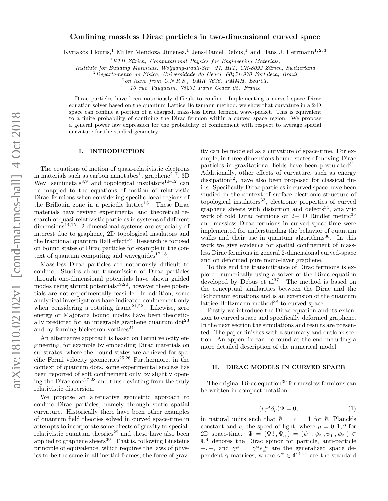# Confining massless Dirac particles in two-dimensional curved space

Kyriakos Flouris,<sup>1</sup> Miller Mendoza Jimenez,<sup>1</sup> Jens-Daniel Debus,<sup>1</sup> and Hans J. Herrmann<sup>1, 2, 3</sup>

 ${}^{1}ETH$  Zürich, Computational Physics for Engineering Materials,

Institute for Building Materials, Wolfgang-Pauli-Str. 27, HIT, CH-8093 Zürich, Switzerland

 $2\,\r{D}$ epartamento de Física, Universidade do Ceará, 60451-970 Fortaleza, Brazil

3 on leave from C.N.R.S., UMR 7636, PMMH, ESPCI, 10 rue Vauquelin, 75231 Paris Cedex 05, France

Dirac particles have been notoriously difficult to confine. Implementing a curved space Dirac equation solver based on the quantum Lattice Boltzmann method, we show that curvature in a 2-D space can confine a portion of a charged, mass-less Dirac fermion wave-packet. This is equivalent to a finite probability of confining the Dirac fermion within a curved space region. We propose a general power law expression for the probability of confinement with respect to average spatial curvature for the studied geometry.

### I. INTRODUCTION

The equations of motion of quasi-relativistic electrons in materials such as carbon nanotubes<sup>1</sup>, graphene<sup>2-7</sup>, 3D Weyl semimetals<sup>8,9</sup> and topological insulators<sup>10–12</sup> can be mapped to the equations of motion of relativistic Dirac fermions when considering specific local regions of the Brillouin zone in a periodic lattice<sup>13</sup>. These Dirac materials have revived experimental and theoretical research of quasi-relativistic particles in systems of different  $dimensions<sup>14,15</sup>$ . 2-dimensional systems are especially of interest due to graphene, 2D topological insulators and the fractional quantum Hall effect<sup>16</sup>. Research is focused on bound states of Dirac particles for example in the context of quantum computing and waveguides $17,18$ .

Mass-less Dirac particles are notoriously difficult to confine. Studies about transmission of Dirac particles through one-dimensional potentials have shown guided modes using abrupt potentials<sup>19,20</sup>, however these potentials are not experimentally feasible. In addition, some analytical investigations have indicated confinement only when considering a rotating frame  $2^{1,22}$ . Likewise, zero energy or Majorana bound modes have been theoretically predicted for an integrable graphene quantum  $dot^{23}$ and by forming bielectron vortices<sup>24</sup>.

An alternative approach is based on Fermi velocity engineering, for example by embedding Dirac materials on substrates, where the bound states are achieved for specific Fermi velocity geometries<sup>25,26</sup> Furthermore, in the context of quantum dots, some experimental success has been reported of soft confinement only by slightly opening the Dirac cone<sup>27,28</sup> and thus deviating from the truly relativistic dispersion.

We propose an alternative geometric approach to confine Dirac particles, namely through static spatial curvature. Historically there have been other examples of quantum field theories solved in curved space-time in attempts to incorporate some effects of gravity to specialrelativistic quantum theories<sup>29</sup> and these have also been applied to graphene sheets<sup>30</sup>. That is, following Einsteins principle of equivalence, which requires the laws of physics to be the same in all inertial frames, the force of gravity can be modeled as a curvature of space-time. For example, in three dimensions bound states of moving Dirac particles in gravitational fields have been postulated<sup>31</sup>. Additionally, other effects of curvature, such as energy dissipation $3^2$ , have also been proposed for classical fluids. Specifically Dirac particles in curved space have been studied in the context of surface electronic structure of topological insulators<sup>33</sup>, electronic properties of curved graphene sheets with distortion and defects<sup>34</sup>, analytic work of cold Dirac fermions on  $2+1D$  Rindler metric<sup>35</sup> and massless Dirac fermions in curved space-time were implemented for understanding the behavior of quantum walks and their use in quantum algorithms<sup>36</sup>. In this work we give evidence for spatial confinement of massless Dirac fermions in general 2-dimensional curved-space and on deformed pure mono-layer graphene.

To this end the transmittance of Dirac fermions is explored numerically using a solver of the Dirac equation developed by Debus et  $al^{37}$ . The method is based on the conceptual similarities between the Dirac and the Boltzmann equations and is an extension of the quantum lattice Boltzmann method<sup>38</sup> to curved space.

Firstly we introduce the Dirac equation and its extension to curved space and specifically deformed graphene. In the next section the simulations and results are presented. The paper finishes with a summary and outlook section. An appendix can be found at the end including a more detailed description of the numerical model.

# II. DIRAC MODELS IN CURVED SPACE

The original Dirac equation<sup>39</sup> for massless fermions can be written in compact notation:

$$
(i\gamma^{\mu}\partial_{\mu})\Psi = 0, \qquad (1)
$$

in natural units such that  $\hbar = c = 1$  for  $\hbar$ , Planck's constant and c, the speed of light, where  $\mu = 0, 1, 2$  for 2D space-time.  $\Psi = (\Psi_a^+, \Psi_a^-) = (\psi_1^+, \psi_2^+, \psi_1^-, \psi_2^-) \in$  $\mathbb{C}^4$  denotes the Dirac spinor for particle, anti-particle +, -, and  $\gamma^{\mu} = \gamma^{\alpha} e_{\alpha}^{\ \mu}$  are the generalized space dependent  $\gamma$ -matrices, where  $\gamma^{\alpha} \in \tilde{\mathbb{C}}^{4 \times 4}$  are the standard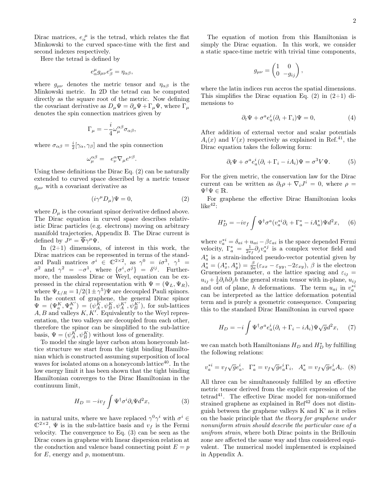Dirac matrices,  $e_{\alpha}^{\ \mu}$  is the tetrad, which relates the flat Minkowski to the curved space-time with the first and second indexes respectively.

Here the tetrad is defined by

$$
e^{\mu}_{\alpha}g_{\mu\nu}e^{\nu}_{\beta}=\eta_{\alpha\beta},
$$

where  $g_{\mu\nu}$  denotes the metric tensor and  $\eta_{\alpha\beta}$  is the Minkowski metric. In 2D the tetrad can be computed directly as the square root of the metric. Now defining the covariant derivative as  $D_{\mu}\Psi = \partial_{\mu}\Psi + \Gamma_{\mu}\Psi$ , where  $\Gamma_{\mu}$ denotes the spin connection matrices given by

$$
\Gamma_\mu = -\frac{i}{4}\omega_\mu^{\alpha\beta}\sigma_{\alpha\beta},
$$

where  $\sigma_{\alpha\beta} = \frac{i}{2} [\gamma_{\alpha}, \gamma_{\beta}]$  and the spin connection

$$
\omega_{\mu}^{\alpha\beta} = e_{\nu}^{\alpha} \nabla_{\mu} e^{\nu\beta}.
$$

Using these definitions the Dirac Eq. (2) can be naturally extended to curved space described by a metric tensor  $g_{\mu\nu}$  with a covariant derivative as

$$
(i\gamma^{\mu}D_{\mu})\Psi = 0, \qquad (2)
$$

where  $D_{\mu}$  is the covariant spinor derivative defined above. The Dirac equation in curved space describes relativistic Dirac particles (e.g. electrons) moving on arbitrary manifold trajectories, Appendix B. The Dirac current is defined by  $J^{\mu} = \overline{\Psi} \gamma^{\mu} \Psi$ .

In (2+1) dimensions, of interest in this work, the Dirac matrices can be represented in terms of the standard Pauli matrices  $\sigma^i \in \mathbb{C}^{2 \times 2}$ , as  $\gamma^0 = i \sigma^3$ ,  $\gamma^1 =$  $\sigma^2$  and  $\gamma^2 = -\sigma^1$ , where  $\{\sigma^i, \sigma^j\} = \delta^{ij}$ . Furthermore, the massless Dirac or Weyl, equation can be expressed in the chiral representation with  $\Psi = (\Psi_L, \Psi_R),$ where  $\Psi_{L/R} = 1/2(1 \pm \gamma^5) \Psi$  are decoupled Pauli spinors. In the context of graphene, the general Dirac spinor  $\Psi = (\Psi_a^K, \Psi_a^{K'}) = (\psi_A^K, \psi_B^{K'}, \psi_A^{K'}, \psi_B^{K'})$ , for sub-lattices  $A, B$  and valleys  $K, K'$ . Equivalently to the Weyl representation, the two valleys are decoupled from each other, therefore the spinor can be simplified to the sub-lattice basis,  $\Psi = (\psi_A^K, \psi_B^K)$  without loss of generality.

To model the single layer carbon atom honeycomb lattice structure we start from the tight binding Hamiltonian which is constructed assuming superposition of local waves for isolated atoms on a honeycomb lattice<sup>40</sup>. In the low energy limit it has been shown that the tight binding Hamiltonian converges to the Dirac Hamiltonian in the continuum limit,

$$
H_D = -iv_f \int \Psi^{\dagger} \sigma^i \partial_i \Psi d^2 x,\tag{3}
$$

in natural units, where we have replaced  $\gamma^0 \gamma^i$  with  $\sigma^i \in$  $\mathbb{C}^{2\times 2}$ ,  $\Psi$  is in the sub-lattice basis and  $v_f$  is the Fermi velocity. The convergence to Eq. (3) can be seen as the Dirac cones in graphene with linear dispersion relation at the conduction and valence band connecting point  $E = p$ for  $E$ , energy and  $p$ , momentum.

The equation of motion from this Hamiltonian is simply the Dirac equation. In this work, we consider a static space-time metric with trivial time components,

$$
g_{\mu\nu} = \begin{pmatrix} 1 & 0 \\ 0 & -g_{ij} \end{pmatrix},
$$

where the latin indices run accros the spatial dimensions. This simplifies the Dirac equation Eq. (2) in  $(2+1)$  dimensions to

$$
\partial_t \Psi + \sigma^a e_a^i (\partial_i + \Gamma_i) \Psi = 0, \tag{4}
$$

After addition of external vector and scalar potentials  $A_i(x)$  and  $V(x)$  respectively as explained in Ref.<sup>41</sup>, the Dirac equation takes the following form:

$$
\partial_t \Psi + \sigma^a e_a^i (\partial_i + \Gamma_i - iA_i) \Psi = \sigma^3 V \Psi.
$$
 (5)

For the given metric, the conservation law for the Dirac current can be written as  $\partial_t \rho + \nabla_i J^i = 0$ , where  $\rho =$  $\Psi^{\dagger}\Psi \in \mathbb{R}$ .

For graphene the effective Dirac Hamiltonian looks  $like<sup>42</sup>$ :

$$
H_D^* = -iv_f \int \Psi^\dagger \sigma^a (v_a^{*i} \partial_i + \Gamma_a^* - iA_a^*) \Psi d^2 x, \quad (6)
$$

where  $v_a^{*i} = \delta_{ai} + u_{ai} - \beta \varepsilon_{ai}$  is the space depended Fermi velocity,  $\Gamma_a^* = \frac{1}{2v_f} \partial_j v_a^{*j}$  is a complex vector field and  $A_a^*$  is a strain-induced pseudo-vector potential given by  $A^*_{a} = (A^*_{x}, A^*_{y}) = \frac{\beta}{2a} (\varepsilon_{xx} - \varepsilon_{yy}, -2\varepsilon_{xy}), \beta$  is the electron Grueneisen parameter, a the lattice spacing and  $\varepsilon_{ij}$  =  $u_{ij} + \frac{1}{2}\partial_i h \partial_j h$  the general strain tensor with in-plane,  $u_{ij}$ and out of plane, h deformations. The term  $u_{ai}$  in  $v_a^{*i}$ can be interpreted as the lattice deformation potential term and is purely a geometric consequence. Comparing this to the standard Dirac Hamiltonian in curved space

$$
H_D = -i \int \Psi^{\dagger} \sigma^a e_a^i (\partial_i + \Gamma_i - iA_i) \Psi \sqrt{g} d^2 x, \tag{7}
$$

we can match both Hamiltonians  $H_D$  and  $H_D^*$  by fulfilling the following relations:

$$
v_a^{*i} = v_f \sqrt{g} e_a^i, \quad \Gamma_a^* = v_f \sqrt{g} e_a^i \Gamma_i, \quad A_a^* = v_f \sqrt{g} e_a^i A_i. \tag{8}
$$

All three can be simultaneously fulfilled by an effective metric tensor derived from the explicit expression of the tetrad<sup>41</sup>. The effective Dirac model for non-uniformed strained graphene as explained in  $Ref<sup>42</sup>$  does not distinguish between the graphene valleys K and K' as it relies on the basic principle that the theory for graphene under nonuniform strain should describe the particular case of a unifrom strain, where both Dirac points in the Brillouin zone are affected the same way and thus considered equivalent. The numerical model implemented is explained in Appendix A.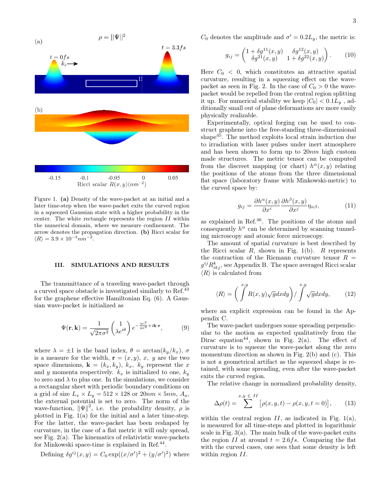

Figure 1. (a) Density of the wave-packet at an initial and a later time-step when the wave-packet exits the curved region in a squeezed Gaussian state with a higher probability in the center. The white rectangle represents the region II within the numerical domain, where we measure confinement. The arrow denotes the propagation direction. (b) Ricci scalar for  $\langle R \rangle = 3.9 \times 10^{-3} nm^{-2}.$ 

#### III. SIMULATIONS AND RESULTS

The transmittance of a traveling wave-packet through a curved space obstacle is investigated similarly to Ref.<sup>43</sup> for the graphene effective Hamiltonian Eq. (6). A Gaussian wave-packet is initialized as

$$
\Psi(\mathbf{r}, \mathbf{k}) = \frac{1}{\sqrt{2\pi\sigma^2}} \begin{pmatrix} 1 \\ \lambda e^{i\theta} \end{pmatrix} e^{-\frac{|\mathbf{r}|^2}{4\sigma^2} + i\mathbf{k} \cdot \mathbf{r}},
$$
(9)

where  $\lambda = \pm 1$  is the band index,  $\theta = \arctan(k_y/k_x)$ ,  $\sigma$ is a measure for the width,  $\mathbf{r} = (x, y), x, y$  are the two space dimensions,  $\mathbf{k} = (k_x, k_y), k_x, k_y$  represent the x and y momenta respectively.  $k_x$  is initialized to one,  $k_y$ to zero and  $\lambda$  to plus one. In the simulations, we consider a rectangular sheet with periodic boundary conditions on a grid of size  $L_x \times L_y = 512 \times 128$  or  $20nm \times 5nm$ ,  $A_a$ , the external potential is set to zero. The norm of the wave-function,  $\|\Psi\|^2$ , i.e. the probability density,  $\rho$  is plotted in Fig. 1(a) for the initial and a later time-step. For the latter, the wave-packet has been reshaped by curvature, in the case of a flat metric it will only spread, see Fig.  $2(a)$ . The kinematics of relativistic wave-packets for Minkowski space-time is explained in Ref.<sup>44</sup>.

Defining 
$$
\delta g^{ij}(x, y) = C_0 \exp((x/\sigma')^2 + (y/\sigma')^2)
$$
 where

 $C_0$  denotes the amplitude and  $\sigma' = 0.2L_y$ , the metric is:

$$
g_{ij} = \begin{pmatrix} 1 + \delta g^{11}(x, y) & \delta g^{12}(x, y) \\ \delta g^{21}(x, y) & 1 + \delta g^{22}(x, y) \end{pmatrix}.
$$
 (10)

Here  $C_0 < 0$ , which constitutes an attractive spatial curvature, resulting in a squeezing effect on the wavepacket as seen in Fig. 2. In the case of  $C_0 > 0$  the wavepacket would be repelled from the central region splitting it up. For numerical stability we keep  $|C_0| < 0.1L_y$  , additionally small out of plane deformations are more easily physically realizable.

Experimentally, optical forging can be used to construct graphene into the free-standing three-dimensional shape $45$ . The method exploits local strain induction due to irradiation with laser pulses under inert atmosphere and has been shown to form up to 20nm high custom made structures. The metric tensor can be computed from the discreet mapping (or chart)  $h^{\alpha}(x, y)$  relating the positions of the atoms from the three dimensional flat space (laboratory frame with Minkowski-metric) to the curved space by:

$$
g_{ij} = \frac{\partial h^{\alpha}(x, y)}{\partial x^{i}} \frac{\partial h^{\beta}(x, y)}{\partial x^{j}} \eta_{\alpha\beta},
$$
 (11)

as explained in Ref.<sup>46</sup>. The positions of the atoms and consequently  $h^{\alpha}$  can be determined by scanning tunneling microscopy and atomic force microscopy.

The amount of spatial curvature is best described by the Ricci scalar  $R$ , shown in Fig. 1(b).  $R$  represents the contraction of the Riemann curvature tensor  $R =$  $g^{ij}R_{ikj}^k$ , see Appendix B. The space averaged Ricci scalar  $\langle R \rangle$  is calculated from

$$
\langle R \rangle = \left( \int^{x,y} R(x,y) \sqrt{g} dx dy \right) / \int^{x,y} \sqrt{g} dx dy, \qquad (12)
$$

where an explicit expression can be found in the Appendix C.

The wave-packet undergoes some spreading perpendicular to the motion as expected qualitatively from the Dirac equation<sup>44</sup>, shown in Fig. 2(a). The effect of curvature is to squeeze the wave-packet along the zero momentum direction as shown in Fig. 2(b) and (c). This is not a geometrical artifact as the squeezed shape is retained, with some spreading, even after the wave-packet exits the curved region.

The relative change in normalized probability density,

$$
\Delta \rho(t) = \sum_{x,y}^{x,y} [\rho(x, y, t) - \rho(x, y, t = 0)], \quad (13)
$$

within the central region  $II$ , as indicated in Fig. 1(a), is measured for all time-steps and plotted in logarithmic scale in Fig. 3(a). The main bulk of the wave-packet exits the region II at around  $t = 2.6fs$ . Comparing the flat with the curved cases, one sees that some density is left within region  $II$ .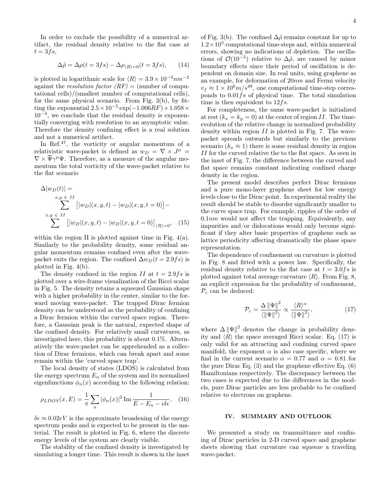In order to exclude the possibility of a numerical artifact, the residual density relative to the flat case at  $t = 3fs$ ,

$$
\Delta \tilde{\rho} = \Delta \rho(t = 3fs) - \Delta \rho_{\langle R \rangle = 0}(t = 3fs), \qquad (14)
$$

is plotted in logarithmic scale for  $\langle R \rangle = 3.9 \times 10^{-3} nm^{-2}$ against the *resolution factor*  $(RF) =$  (number of computational cells)/(smallest number of computational cells), for the same physical scenario. From Fig. 3(b), by fitting the exponential  $2.5 \times 10^{-5}$  exp $(-1.006RF) + 1.058 \times$ 10−<sup>4</sup> , we conclude that the residual density is exponentially converging with resolution to an asymptotic value. Therefore the density confining effect is a real solution and not a numerical artifact.

In Ref.<sup>47</sup>, the vorticity or angular momentum of a relativistic wave-packet is defined as  $w_D = \nabla \times J^{\mu} =$  $\nabla \times \overline{\Psi} \gamma^{\mu} \Psi$ . Therefore, as a measure of the angular momentum the total vorticity of the wave-packet relative to the flat scenario

$$
\Delta |w_D(t)| =
$$
  
\n
$$
\sum_{x,y \in II} [w_D | (x, y, t) - |w_D | (x, y, t = 0)] -
$$
  
\n
$$
\sum_{x,y \in II} [|w_D | (x, y, t) - |w_D | (x, y, t = 0)]_{(R) = 0}, (15)
$$

within the region II is plotted against time in Fig. 4(a). Similarly to the probability density, some residual angular momentum remains confined even after the wavepacket exits the region. The confined  $\Delta w_D(t = 2.9fs)$  is plotted in Fig. 4(b).

The density confined in the region II at  $t = 2.9fs$  is plotted over a wire-frame visualization of the Ricci scalar in Fig. 5. The density retains a squeezed Gaussian shape with a higher probability in the center, similar to the forward moving wave-packet. The trapped Dirac fermion density can be understood as the probability of confining a Dirac fermion within the curved space region. Therefore, a Gaussian peak is the natural, expected shape of the confined density. For relatively small curvatures, as investigated here, this probability is about 0.1%. Alternatively the wave-packet can be apprehended as a collection of Dirac fermions, which can break apart and some remain within the 'curved space trap'.

The local density of states (LDOS) is calculated from the energy spectrum  $E_n$  of the system and its normalized eigenfunctions  $\phi_n(x)$  according to the following relation:

$$
\rho_{LDOS}(x, E) = \frac{1}{\pi} \sum_{n} |\phi_n(x)|^2 \operatorname{Im} \frac{1}{E - E_n - i\delta \epsilon}.
$$
 (16)

 $\delta \epsilon \approx 0.02 eV$  is the approximate broadening of the energy spectrum peaks and is expected to be present in the material. The result is plotted in Fig. 6, where the discrete energy levels of the system are clearly visible.

The stability of the confined density is investigated by simulating a longer time. This result is shown in the inset

of Fig. 3(b). The confined  $\Delta\tilde{\rho}$  remains constant for up to  $1.2 \times 10^3$  computational time-steps and, within numerical errors, showing no indications of depletion. The oscillations of  $\mathcal{O}(10^{-5})$  relative to  $\Delta \tilde{\rho}$ , are caused by minor boundary effects since their period of oscillation is dependent on domain size. In real units, using graphene as an example, for deformation of 20nm and Fermi velocity  $v_f \approx 1 \times 10^6 m/s^{48}$ , one computational time-step corresponds to  $0.01fs$  of physical time. The total simulation time is then equivalent to  $12fs$ .

For completeness, the same wave-packet is initialized at rest  $(k_x = k_y = 0)$  at the center of region II. The timeevolution of the relative change in normalized probability density within region  $II$  is plotted in Fig. 7. The wavepacket spreads outwards but similarly to the previous scenario ( $k_x \approx 1$ ) there is some residual density in region II for the curved relative the to the flat space. As seen in the inset of Fig. 7, the difference between the curved and flat space remains constant indicating confined charge density in the region.

The present model describes perfect Dirac fermions and a pure mono-layer graphene sheet for low energy levels close to the Dirac point. In experimental reality the result should be stable to disorder significantly smaller to the curve space trap. For example, ripples of the order of  $0.1nm$  would not affect the trapping. Equivalently, any impurities and/or dislocations would only become significant if they alter basic properties of graphene such as lattice periodicity affecting dramatically the phase space representation.

The dependence of confinement on curvature is plotted in Fig. 8 and fitted with a power law. Specifically, the residual density relative to the flat case at  $t = 3.0fs$  is plotted against total average curvature  $\langle R \rangle$ . From Fig. 8, an explicit expression for the probability of confinement,  $\mathcal{P}_c$  can be deduced:

$$
\mathcal{P}_c = \frac{\Delta \left\| \Psi \right\|^2}{\left\langle \left\| \Psi \right\|^2 \right\rangle} \propto \frac{\langle R \rangle^{\alpha}}{\left\langle \left\| \Psi \right\|^2 \right\rangle},\tag{17}
$$

where  $\Delta \|\Psi\|^2$  denotes the change in probability density and  $\langle R \rangle$  the space averaged Ricci scalar. Eq. (17) is only valid for an attracting and confining curved space manifold, the exponent  $\alpha$  is also case specific, where we find in the current scenario  $\alpha = 0.77$  and  $\alpha = 0.81$  for the pure Dirac Eq. (3) and the graphene effective Eq. (6) Hamiltonians respectively. The discrepancy between the two cases is expected due to the differences in the models, pure Dirac particles are less probable to be confined relative to electrons on graphene.

## IV. SUMMARY AND OUTLOOK

We presented a study on transmittance and confining of Dirac particles in 2-D curved space and graphene sheets showing that curvature can squeeze a traveling wave-packet.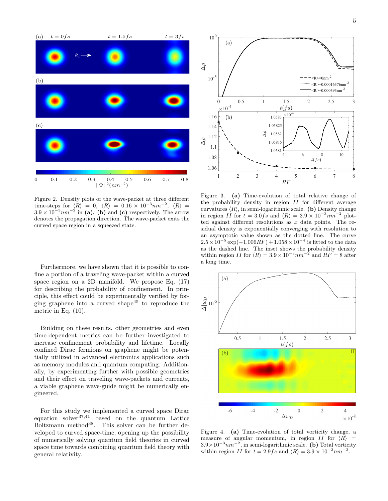

Figure 2. Density plots of the wave-packet at three different time-steps for  $\langle R \rangle = 0$ ,  $\langle R \rangle = 0.16 \times 10^{-3} nm^{-2}$ ,  $\langle R \rangle =$  $3.9 \times 10^{-3}$  nm<sup>-2</sup> in (a), (b) and (c) respectively. The arrow denotes the propagation direction. The wave-packet exits the curved space region in a squeezed state.

Furthermore, we have shown that it is possible to confine a portion of a traveling wave-packet within a curved space region on a 2D manifold. We propose Eq. (17) for describing the probability of confinement. In principle, this effect could be experimentally verified by forging graphene into a curved shape<sup>45</sup> to reproduce the metric in Eq. (10).

Building on these results, other geometries and even time-dependent metrics can be further investigated to increase confinement probability and lifetime. Locally confined Dirac fermions on graphene might be potentially utilized in advanced electronics applications such as memory modules and quantum computing. Additionally, by experimenting further with possible geometries and their effect on traveling wave-packets and currents, a viable graphene wave-guide might be numerically engineered.

For this study we implemented a curved space Dirac equation solver37,41 based on the quantum Lattice  $Boltzmann$  method<sup>38</sup>. This solver can be further developed to curved space-time, opening up the possibility of numerically solving quantum field theories in curved space time towards combining quantum field theory with general relativity.



Figure 3. (a) Time-evolution of total relative change of the probability density in region  $II$  for different average curvatures  $\langle R \rangle$ , in semi-logarithmic scale. (b) Density change in region II for  $t = 3.0fs$  and  $\langle R \rangle = 3.9 \times 10^{-3}nm^{-2}$  plotted against different resolutions as  $x$  data points. The residual density is exponentially converging with resolution to an asymptotic value shown as the dotted line. The curve  $2.5 \times 10^{-5} \exp(-1.006RF) + 1.058 \times 10^{-4}$  is fitted to the data as the dashed line. The inset shows the probability density within region II for  $\langle R \rangle = 3.9 \times 10^{-3} nm^{-2}$  and  $RF = 8$  after a long time.



Figure 4. (a) Time-evolution of total vorticity change, a measure of angular momentum, in region  $II$  for  $\langle R \rangle$  =  $3.9\times10^{-3}nm^{-2}$ , in semi-logarithmic scale. (b) Total vorticity within region II for  $t = 2.9fs$  and  $\langle R \rangle = 3.9 \times 10^{-3}nm^{-2}$ .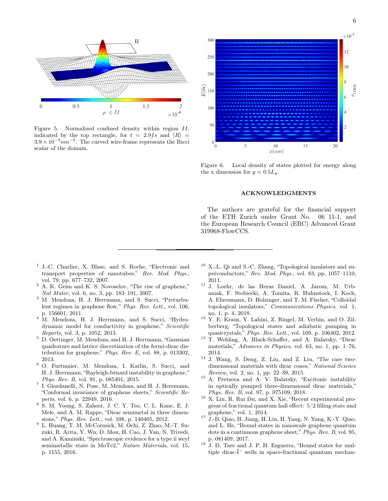

Figure 5. Normalized confined density within region II, indicated by the top rectangle, for  $t = 2.9fs$  and  $\langle R \rangle$  =  $3.9 \times 10^{-3}$  nm<sup>-2</sup>. The curved wire-frame represents the Ricci scalar of the domain.



Figure 6. Local density of states plotted for energy along the x dimension for  $y = 0.5L_y$ .

#### ACKNOWLEDGMENTS

The authors are grateful for the financial support of the ETH Zurich under Grant No. 06 11-1, and the European Research Council (ERC) Advanced Grant 319968-FlowCCS.

- 1 J.-C. Charlier, X. Blase, and S. Roche, "Electronic and transport properties of nanotubes," Rev. Mod. Phys., vol. 79, pp. 677–732, 2007.
- <sup>2</sup> A. K. Geim and K. S. Novoselov, "The rise of graphene," Nat Mater, vol. 6, no. 3, pp. 183–191, 2007.
- <sup>3</sup> M. Mendoza, H. J. Herrmann, and S. Succi, "Preturbulent regimes in graphene flow," Phys. Rev. Lett., vol. 106, p. 156601, 2011.
- <sup>4</sup> M. Mendoza, H. J. Herrmann, and S. Succi, "Hydrodynamic model for conductivity in graphene," Scientific Reports, vol. 3, p. 1052, 2013.
- <sup>5</sup> D. Oettinger, M. Mendoza, and H. J. Herrmann, "Gaussian quadrature and lattice discretization of the fermi-dirac distribution for graphene," Phys. Rev. E, vol. 88, p. 013302, 2013.
- <sup>6</sup> O. Furtmaier, M. Mendoza, I. Karlin, S. Succi, and H. J. Herrmann, "Rayleigh-bénard instability in graphene," Phys. Rev. B, vol. 91, p. 085401, 2015.
- 7 I. Giordanelli, N. Pose, M. Mendoza, and H. J. Herrmann, "Conformal invariance of graphene sheets," Scientific Reports, vol. 6, p. 22949, 2016.
- <sup>8</sup> S. M. Young, S. Zaheer, J. C. Y. Teo, C. L. Kane, E. J. Mele, and A. M. Rappe, "Dirac semimetal in three dimensions," Phys. Rev. Lett., vol. 108, p. 140405, 2012.
- <sup>9</sup> L. Huang, T. M. McCormick, M. Ochi, Z. Zhao, M.-T. Suzuki, R. Arita, Y. Wu, D. Mou, H. Cao, J. Yan, N. Trivedi, and A. Kaminski, "Spectroscopic evidence for a type ii weyl semimetallic state in MoTe2," Nature Materials, vol. 15, p. 1155, 2016.
- $10$  X.-L. Qi and S.-C. Zhang, "Topological insulators and superconductors," Rev. Mod. Phys., vol. 83, pp. 1057–1110, 2011.
- <sup>11</sup> J. Loehr, de las Heras Daniel, A. Jarosz, M. Urbaniak, F. Stobiecki, A. Tomita, R. Huhnstock, I. Koch, A. Ehresmann, D. Holzinger, and T. M. Fischer, "Colloidal topological insulators," Communications Physics, vol. 1, no. 1, p. 4, 2018.
- <sup>12</sup> Y. E. Kraus, Y. Lahini, Z. Ringel, M. Verbin, and O. Zilberberg, "Topological states and adiabatic pumping in quasicrystals," Phys. Rev. Lett., vol. 109, p. 106402, 2012.
- <sup>13</sup> T. Wehling, A. Black-Schaffer, and A. Balatsky, "Dirac materials," Advances in Physics, vol. 63, no. 1, pp. 1–76, 2014.
- $14$  J. Wang, S. Deng, Z. Liu, and Z. Liu, "The rare twodimensional materials with dirac cones," National Science Review, vol. 2, no. 1, pp. 22–39, 2015.
- <sup>15</sup> A. Pertsova and A. V. Balatsky, "Excitonic instability in optically pumped three-dimensional dirac materials," Phys. Rev. B, vol. 97, p. 075109, 2018.
- <sup>16</sup> X. Lin, R. Rui Du, and X. Xie, "Recent experimental progress of fractional quantum hall effect: 5/2 filling state and graphene," vol. 1, 2014.
- $^{17}$ J.-B. Qiao, H. Jiang, H. Liu, H. Yang, N. Yang, K.-Y. Qiao, and L. He, "Bound states in nanoscale graphene quantum dots in a continuous graphene sheet," Phys. Rev. B, vol. 95, p. 081409, 2017.
- <sup>18</sup> J. D. Tare and J. P. H. Esguerra, "Bound states for multiple dirac- $\hat{I}$  wells in space-fractional quantum mechan-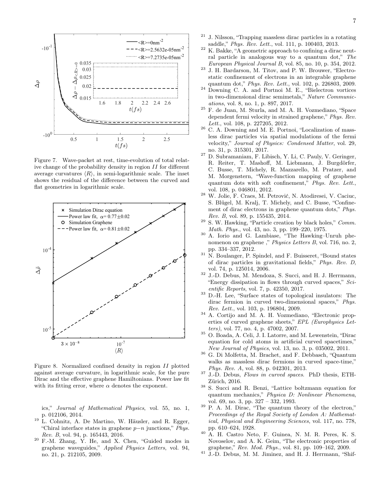

Figure 7. Wave-packet at rest, time-evolution of total relative change of the probability density in region II for different average curvatures  $\langle R \rangle$ , in semi-logarithmic scale. The inset shows the residual of the difference between the curved and flat geometries in logarithmic scale.



Figure 8. Normalized confined density in region II plotted against average curvature, in logarithmic scale, for the pure Dirac and the effective graphene Hamiltonians. Power law fit with its fitting error, where  $\alpha$  denotes the exponent.

ics," Journal of Mathematical Physics, vol. 55, no. 1, p. 012106, 2014.

- <sup>19</sup> L. Cohnitz, A. De Martino, W. Häusler, and R. Egger, "Chiral interface states in graphene  $p-n$  junctions," Phys. Rev. B, vol. 94, p. 165443, 2016.
- <sup>20</sup> F.-M. Zhang, Y. He, and X. Chen, "Guided modes in graphene waveguides," Applied Physics Letters, vol. 94, no. 21, p. 212105, 2009.
- <sup>21</sup> J. Nilsson, "Trapping massless dirac particles in a rotating saddle," Phys. Rev. Lett., vol. 111, p. 100403, 2013.
- $22 K. Bakke, "A geometric approach to confining a dirac neutr.$ ral particle in analogous way to a quantum dot," The European Physical Journal B, vol. 85, no. 10, p. 354, 2012.
- <sup>23</sup> J. H. Bardarson, M. Titov, and P. W. Brouwer, "Electrostatic confinement of electrons in an integrable graphene quantum dot," Phys. Rev. Lett., vol. 102, p. 226803, 2009.
- $24$  Downing C. A. and Portnoi M. E., "Bielectron vortices in two-dimensional dirac semimetals," Nature Communications, vol. 8, no. 1, p. 897, 2017.
- <sup>25</sup> F. de Juan, M. Sturla, and M. A. H. Vozmediano, "Space dependent fermi velocity in strained graphene," Phys. Rev. Lett., vol. 108, p. 227205, 2012.
- <sup>26</sup> C. A. Downing and M. E. Portnoi, "Localization of massless dirac particles via spatial modulations of the fermi velocity," Journal of Physics: Condensed Matter, vol. 29, no. 31, p. 315301, 2017.
- <sup>27</sup> D. Subramaniam, F. Libisch, Y. Li, C. Pauly, V. Geringer, R. Reiter, T. Mashoff, M. Liebmann, J. Burgdörfer, C. Busse, T. Michely, R. Mazzarello, M. Pratzer, and M. Morgenstern, "Wave-function mapping of graphene quantum dots with soft confinement," Phys. Rev. Lett., vol. 108, p. 046801, 2012.
- <sup>28</sup> W. Jolie, F. Craes, M. Petrović, N. Atodiresei, V. Caciuc, S. Blügel, M. Kralj, T. Michely, and C. Busse, "Confinement of dirac electrons in graphene quantum dots," Phys. Rev. B, vol. 89, p. 155435, 2014.
- $29$  S. W. Hawking, "Particle creation by black holes," *Comm.* Math. Phys., vol. 43, no. 3, pp. 199–220, 1975.
- <sup>30</sup> A. Iorio and G. Lambiase, "The Hawking–Unruh phenomenon on graphene ," Physics Letters B, vol. 716, no. 2, pp. 334–337, 2012.
- $31$  N. Boulanger, P. Spindel, and F. Buisseret, "Bound states of dirac particles in gravitational fields," Phys. Rev. D, vol. 74, p. 125014, 2006.
- <sup>32</sup> J.-D. Debus, M. Mendoza, S. Succi, and H. J. Herrmann, "Energy dissipation in flows through curved spaces," Scientific Reports, vol. 7, p. 42350, 2017.
- <sup>33</sup> D.-H. Lee, "Surface states of topological insulators: The dirac fermion in curved two-dimensional spaces," Phys. Rev. Lett., vol. 103, p. 196804, 2009.
- <sup>34</sup> A. Cortijo and M. A. H. Vozmediano, "Electronic properties of curved graphene sheets," EPL (Europhysics Letters), vol. 77, no. 4, p. 47002, 2007.
- <sup>35</sup> O. Boada, A. Celi, J. I. Latorre, and M. Lewenstein, "Dirac equation for cold atoms in artificial curved spacetimes," New Journal of Physics, vol. 13, no. 3, p. 035002, 2011.
- <sup>36</sup> G. Di Molfetta, M. Brachet, and F. Debbasch, "Quantum walks as massless dirac fermions in curved space-time," Phys. Rev. A, vol. 88, p. 042301, 2013.
- $37$  J.-D. Debus, Flows in curved spaces. PhD thesis, ETH-Zürich, 2016.
- <sup>38</sup> S. Succi and R. Benzi, "Lattice boltzmann equation for quantum mechanics," Physica D: Nonlinear Phenomena, vol. 69, no. 3, pp. 327 – 332, 1993.
- <sup>39</sup> P. A. M. Dirac, "The quantum theory of the electron," Proceedings of the Royal Society of London A: Mathematical, Physical and Engineering Sciences, vol. 117, no. 778, pp. 610–624, 1928.
- <sup>40</sup> A. H. Castro Neto, F. Guinea, N. M. R. Peres, K. S. Novoselov, and A. K. Geim, "The electronic properties of graphene," Rev. Mod. Phys., vol. 81, pp. 109–162, 2009.
- <sup>41</sup> J.-D. Debus, M. M. Jiminez, and H. J. Herrmann, "Shif-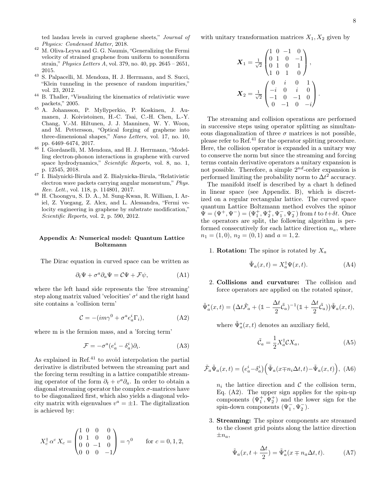ted landau levels in curved graphene sheets," Journal of Physics: Condensed Matter, 2018.

- $^\mathrm{42}$  M. Oliva-Leyva and G. G. Naumis, "Generalizing the Fermi velocity of strained graphene from uniform to nonuniform strain," Physics Letters A, vol. 379, no. 40, pp. 2645 – 2651, 2015.
- <sup>43</sup> S. Palpacelli, M. Mendoza, H. J. Herrmann, and S. Succi, "Klein tunneling in the presence of random impurities," vol. 23, 2012.
- <sup>44</sup> B. Thaller, "Visualizing the kinematics of relativistic wave packets," 2005.
- <sup>45</sup> A. Johansson, P. Myllyperkio, P. Koskinen, J. Aumanen, J. Koivistoinen, H.-C. Tsai, C.-H. Chen, L.-Y. Chang, V.-M. Hiltunen, J. J. Manninen, W. Y. Woon, and M. Pettersson, "Optical forging of graphene into three-dimensional shapes," Nano Letters, vol. 17, no. 10, pp. 6469–6474, 2017.
- <sup>46</sup> I. Giordanelli, M. Mendoza, and H. J. Herrmann, "Modelling electron-phonon interactions in graphene with curved space hydrodynamics," Scientific Reports, vol. 8, no. 1, p. 12545, 2018.
- <sup>47</sup> I. Bialynicki-Birula and Z. Bialynicka-Birula, "Relativistic electron wave packets carrying angular momentum," Phys. Rev. Lett., vol. 118, p. 114801, 2017.
- <sup>48</sup> H. Choongyu, S. D. A., M. Sung-Kwan, R. William, I. Ariel, Z. Yuegang, Z. Alex, and L. Alessandra, "Fermi velocity engineering in graphene by substrate modification," Scientific Reports, vol. 2, p. 590, 2012.

### Appendix A: Numerical model: Quantum Lattice Boltzmann

The Dirac equation in curved space can be written as

$$
\partial_t \Psi + \sigma^a \partial_a \Psi = \mathcal{C} \Psi + \mathcal{F} \psi, \tag{A1}
$$

where the left hand side represents the 'free streaming' step along matrix valued 'velocities'  $\sigma^i$  and the right hand site contains a 'collision term'

$$
\mathcal{C} = -(im\gamma^0 + \sigma^a e_a^i \Gamma_i),\tag{A2}
$$

where m is the fermion mass, and a 'forcing term'

$$
\mathcal{F} = -\sigma^a (e_a^i - \delta_a^i) \partial_i.
$$
 (A3)

As explained in Ref. $^{41}$  to avoid interpolation the partial derivative is distributed between the streaming part and the forcing term resulting in a lattice compatible streaming operator of the form  $\partial_t + v^a \partial_a$ . In order to obtain a diagonal streaming operator the complex  $\sigma$ -matrices have to be diagonalized first, which also yields a diagonal velocity matrix with eigenvalues  $v^a = \pm 1$ . The digitalization is achieved by:

$$
X_c^{\dagger} \alpha^c X_c = \begin{pmatrix} 1 & 0 & 0 & 0 \\ 0 & 1 & 0 & 0 \\ 0 & 0 & -1 & 0 \\ 0 & 0 & 0 & -1 \end{pmatrix} = \gamma^0 \quad \text{for } c = 0, 1, 2,
$$

with unitary transformation matrices  $X_1, X_2$  given by

$$
\mathbf{X}_1 = \frac{1}{\sqrt{2}} \begin{pmatrix} 1 & 0 & -1 & 0 \\ 0 & 1 & 0 & -1 \\ 0 & 1 & 0 & 1 \\ 1 & 0 & 1 & 0 \end{pmatrix},
$$

$$
\mathbf{X}_2 = \frac{1}{\sqrt{2}} \begin{pmatrix} 0 & i & 0 & 1 \\ -i & 0 & i & 0 \\ -1 & 0 & -1 & 0 \\ 0 & -1 & 0 & -i \end{pmatrix}.
$$

The streaming and collision operations are performed in successive steps using operator splitting as simultaneous diagonalization of three  $\sigma$  matrices is not possible. please refer to Ref.<sup>41</sup> for the operator splitting procedure. Here, the collision operator is expanded in a unitary way to conserve the norm but since the streaming and forcing terms contain derivative operators a unitary expansion is not possible. Therefore, a simple  $2^{nd}$ -order expansion is performed limiting the probability norm to  $\Delta t^2$  accuracy.

The manifold itself is described by a chart h defined in linear space (see Appendix. B), which is discretized on a regular rectangular lattice. The curved space quantum Lattice Boltzmann method evolves the spinor  $\Psi = (\Psi^+, \Psi^-) = (\Psi_1^+, \Psi_2^+, \Psi_1^-, \Psi_2^-)$  from t to  $t+\delta t$ . Once the operators are split, the following algorithm is performed consecutively for each lattice direction  $n_a$ , where  $n_1 = (1, 0), n_2 = (0, 1)$  and  $a = 1, 2$ .

1. **Rotation:** The spinor is rotated by  $X_a$ 

$$
\tilde{\Psi}_a(x,t) = X_a^{\dagger} \Psi(x,t). \tag{A4}
$$

2. Collisions and curvature: The collision and force operators are applied on the rotated spinor,

$$
\tilde{\Psi}_a^*(x,t) = \left(\Delta t \tilde{\mathcal{F}}_a + (\mathbb{1} - \frac{\Delta t}{2} \tilde{\mathcal{C}}_a)^{-1} (\mathbb{1} + \frac{\Delta t}{2} \tilde{\mathcal{C}}_a)\right) \tilde{\Psi}_a(x,t),
$$

where  $\tilde{\Psi}_a^*(x,t)$  denotes an auxiliary field,

$$
\tilde{\mathcal{C}}_a = \frac{1}{2} X_a^\dagger \mathcal{C} X_a,\tag{A5}
$$

$$
\tilde{\mathcal{F}}_a \tilde{\Psi}_a(x,t) = \left(e_a^i - \delta_a^i\right) \left(\tilde{\Psi}_a(x \mp n_i \Delta t, t) - \tilde{\Psi}_a(x,t)\right), \ (A6)
$$

 $n_i$  the lattice direction and C the collision term, Eq. (A2). The upper sign applies for the spin-up components  $(\Psi_1^+, \Psi_2^+)$  and the lower sign for the spin-down components  $(\Psi_1^-, \Psi_2^-)$ .

3. Streaming: The spinor components are streamed to the closest grid points along the lattice direction  $\pm n_a$ 

$$
\tilde{\Psi}_a(x, t + \frac{\Delta t}{2}) = \tilde{\Psi}_a^*(x \mp n_a \Delta t, t). \tag{A7}
$$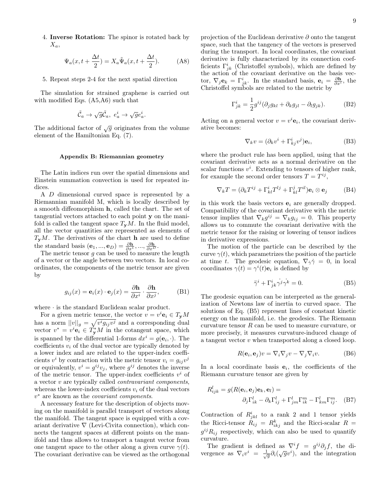4. Inverse Rotation: The spinor is rotated back by  $X_a$ 

$$
\Psi_a(x, t + \frac{\Delta t}{2}) = X_a \tilde{\Psi}_a(x, t + \frac{\Delta t}{2}).
$$
 (A8)

5. Repeat steps 2-4 for the next spatial direction

The simulation for strained graphene is carried out with modified Eqs. (A5,A6) such that

$$
\tilde{\mathcal{C}}_a \to \sqrt{g} \tilde{\mathcal{C}}_a, \ e_a^i \to \sqrt{g} e_a^i.
$$

The additional factor of  $\sqrt{g}$  originates from the volume element of the Hamiltonian Eq. (7).

### Appendix B: Riemannian geometry

The Latin indices run over the spatial dimensions and Einstein summation convection is used for repeated indices.

A D dimensional curved space is represented by a Riemannian manifold M, which is locally described by a smooth diffeomorphism h, called the chart. The set of tangential vectors attached to each point y on the manifold is called the tangent space  $T_{\mathbf{v}}M$ . In the fluid model, all the vector quantities are represented as elements of  $T_{\mathbf{v}}M$ . The derivatives of the chart **h** are used to define the standard basis  $(\mathbf{e}_1, ..., \mathbf{e}_D) = \frac{\partial \mathbf{h}}{\partial x^1}, ..., \frac{\partial \mathbf{h}}{\partial x^D}$ .

The metric tensor  $g$  can be used to measure the length of a vector or the angle between two vectors. In local coordinates, the components of the metric tensor are given by

$$
g_{ij}(x) = \mathbf{e}_i(x) \cdot \mathbf{e}_j(x) = \frac{\partial \mathbf{h}}{\partial x^i} \cdot \frac{\partial \mathbf{h}}{\partial x^j},
$$
 (B1)

where · is the standard Euclidean scalar product.

For a given metric tensor, the vector  $v = v^i \mathbf{e}_i \in T_{\mathbf{y}}M$ has a norm  $||v||_g = \sqrt{v^i g_{ij} v^j}$  and a corresponding dual vector  $v^* = v^i \mathbf{e}_i \in T^*_{\mathbf{y}}M$  in the cotangent space, which is spanned by the differential 1-forms  $dx^{i} = g(e_{i}, \cdot)$ . The coefficients  $v_i$  of the dual vector are typically denoted by a lower index and are related to the upper-index coefficients  $v^i$  by contraction with the metric tensor  $v_i = g_{ij}v^j$ or equivalently,  $v^i = g^{ij}v_j$ , where  $g^{ij}$  denotes the inverse of the metric tensor. The upper-index coefficients  $v^i$  of a vector v are typically called contravariant components, whereas the lower-index coefficients  $v_i$  of the dual vectors  $v^*$  are known as the *covariant components*.

A necessary feature for the description of objects moving on the manifold is parallel transport of vectors along the manifold. The tangent space is equipped with a covariant derivative  $\nabla$  (Levi-Civita connection), which connects the tangent spaces at different points on the manifold and thus allows to transport a tangent vector from one tangent space to the other along a given curve  $\gamma(t)$ . The covariant derivative can be viewed as the orthogonal projection of the Euclidean derivative ∂ onto the tangent space, such that the tangency of the vectors is preserved during the transport. In local coordinates, the covariant derivative is fully characterized by its connection coefficients  $\Gamma^i_{jk}$  (Christoffel symbols), which are defined by the action of the covariant derivative on the basis vector,  $\nabla_j \mathbf{e}_k = \Gamma^i_{jk}$ . In the standard basis,  $\mathbf{e}_i = \frac{\partial \mathbf{h}}{\partial x^i}$ , the Christoffel symbols are related to the metric by

$$
\Gamma^i_{jk} = \frac{1}{2} g^{ij} (\partial_j g_{kl} + \partial_k g_{jl} - \partial_l g_{jk}).
$$
 (B2)

Acting on a general vector  $v = v^i \mathbf{e}_i$ , the covariant derivative becomes:

$$
\nabla_k v = (\partial_k v^i + \Gamma^i_{kj} v^j) \mathbf{e}_i,\tag{B3}
$$

where the product rule has been applied, using that the covariant derivative acts as a normal derivative on the scalar functions  $v^i$ . Extending to tensors of higher rank, for example the second order tensors  $T = T^{ij}$ ,

$$
\nabla_k T = (\partial_k T^{ij} + \Gamma^i_{kl} T^{lj} + \Gamma^j_{kl} T^{il}) \mathbf{e}_i \otimes \mathbf{e}_j \qquad (B4)
$$

in this work the basis vectors  $e_i$  are generally dropped. Compatibility of the covariant derivative with the metric tensor implies that  $\nabla_k g^{ij} = \nabla_k g_{ij} = 0$ . This property allows us to commute the covariant derivative with the metric tensor for the raising or lowering of tensor indices in derivative expressions.

The motion of the particle can be described by the curve  $\gamma(t)$ , which parametrizes the position of the particle at time t. The geodesic equation,  $\nabla_{\dot{\gamma}} \dot{\gamma} = 0$ , in local coordinates  $\gamma(t) = \gamma^i(t)\mathbf{e}_i$  is defined by

$$
\ddot{\gamma}^i + \Gamma^i_{jk} \gamma^j \gamma^k = 0.
$$
 (B5)

The geodesic equation can be interpreted as the generalization of Newtons law of inertia to curved space. The solutions of Eq. (B5) represent lines of constant kinetic energy on the manifold, i.e. the geodesics. The Riemann curvature tensor R can be used to measure curvature, or more precisely, it measures curvature-induced change of a tangent vector v when transported along a closed loop.

$$
R(\mathbf{e}_i, \mathbf{e}_j)v = \nabla_i \nabla_j v - \nabla_j \nabla_i v.
$$
 (B6)

In a local coordinate basis  $e_i$ , the coefficients of the Riemann curvature tensor are given by

$$
R_{ijk}^l = g(R(\mathbf{e}_i, \mathbf{e}_j)\mathbf{e}_k, \mathbf{e}_l) =
$$

$$
\partial_j \Gamma_{ik}^l - \partial_k \Gamma_{ij}^l + \Gamma_{jm}^l \Gamma_{ik}^m - \Gamma_{km}^l \Gamma_{ij}^m. \quad (B7)
$$

Contraction of  $R_{jkl}^i$  to a rank 2 and 1 tensor yields the Ricci-tensor  $R_{ij} = R_{ikj}^k$  and the Ricci-scalar  $R =$  $g^{ij}R_{ij}$  respectively, which can also be used to quantify curvature.

The gradient is defined as  $\nabla^i f = g^{ij} \partial_j f$ , the di-The gradient is defined as  $\vec{v}_j = g^{\sigma} \vec{v}_j$ , the di-<br>vergence as  $\nabla_i v^i = \frac{1}{\sqrt{g}} \partial_i (\sqrt{g} v^i)$ , and the integration